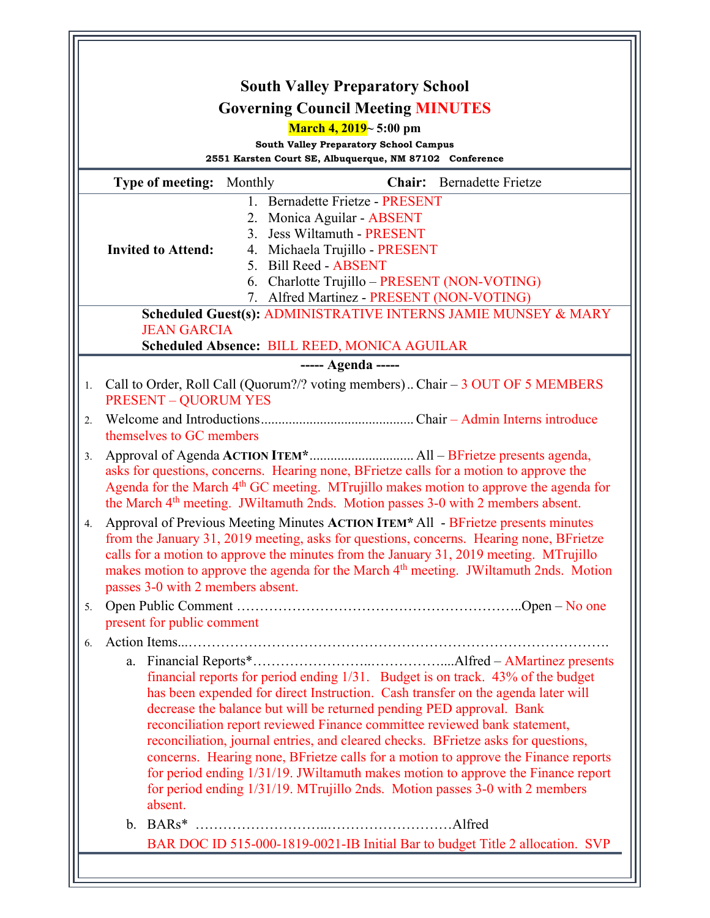| <b>South Valley Preparatory School</b>                                                                                                                                                                                                                                                                                                                                                                                                                                                                                                                                                  |
|-----------------------------------------------------------------------------------------------------------------------------------------------------------------------------------------------------------------------------------------------------------------------------------------------------------------------------------------------------------------------------------------------------------------------------------------------------------------------------------------------------------------------------------------------------------------------------------------|
| <b>Governing Council Meeting MINUTES</b>                                                                                                                                                                                                                                                                                                                                                                                                                                                                                                                                                |
| March 4, $2019-5:00$ pm                                                                                                                                                                                                                                                                                                                                                                                                                                                                                                                                                                 |
| <b>South Valley Preparatory School Campus</b>                                                                                                                                                                                                                                                                                                                                                                                                                                                                                                                                           |
| 2551 Karsten Court SE, Albuquerque, NM 87102 Conference                                                                                                                                                                                                                                                                                                                                                                                                                                                                                                                                 |
| <b>Type of meeting:</b> Monthly<br><b>Chair:</b> Bernadette Frietze                                                                                                                                                                                                                                                                                                                                                                                                                                                                                                                     |
| 1. Bernadette Frietze - PRESENT<br>2. Monica Aguilar - ABSENT                                                                                                                                                                                                                                                                                                                                                                                                                                                                                                                           |
| 3. Jess Wiltamuth - PRESENT                                                                                                                                                                                                                                                                                                                                                                                                                                                                                                                                                             |
| <b>Invited to Attend:</b><br>4. Michaela Trujillo - PRESENT                                                                                                                                                                                                                                                                                                                                                                                                                                                                                                                             |
| 5. Bill Reed - ABSENT<br>6. Charlotte Trujillo - PRESENT (NON-VOTING)                                                                                                                                                                                                                                                                                                                                                                                                                                                                                                                   |
| 7. Alfred Martinez - PRESENT (NON-VOTING)                                                                                                                                                                                                                                                                                                                                                                                                                                                                                                                                               |
| Scheduled Guest(s): ADMINISTRATIVE INTERNS JAMIE MUNSEY & MARY<br><b>JEAN GARCIA</b>                                                                                                                                                                                                                                                                                                                                                                                                                                                                                                    |
| <b>Scheduled Absence: BILL REED, MONICA AGUILAR</b>                                                                                                                                                                                                                                                                                                                                                                                                                                                                                                                                     |
| ----- Agenda -----                                                                                                                                                                                                                                                                                                                                                                                                                                                                                                                                                                      |
| Call to Order, Roll Call (Quorum?/? voting members) Chair $-3$ OUT OF 5 MEMBERS<br>1.<br><b>PRESENT - QUORUM YES</b>                                                                                                                                                                                                                                                                                                                                                                                                                                                                    |
| 2.<br>themselves to GC members                                                                                                                                                                                                                                                                                                                                                                                                                                                                                                                                                          |
| 3.<br>asks for questions, concerns. Hearing none, BFrietze calls for a motion to approve the<br>Agenda for the March 4 <sup>th</sup> GC meeting. MTrujillo makes motion to approve the agenda for<br>the March 4 <sup>th</sup> meeting. JWiltamuth 2nds. Motion passes 3-0 with 2 members absent.                                                                                                                                                                                                                                                                                       |
| Approval of Previous Meeting Minutes ACTION ITEM* All - BFrietze presents minutes<br>4.<br>from the January 31, 2019 meeting, asks for questions, concerns. Hearing none, BFrietze<br>calls for a motion to approve the minutes from the January 31, 2019 meeting. MTrujillo<br>makes motion to approve the agenda for the March 4 <sup>th</sup> meeting. JWiltamuth 2nds. Motion<br>passes 3-0 with 2 members absent.                                                                                                                                                                  |
| 5.<br>present for public comment                                                                                                                                                                                                                                                                                                                                                                                                                                                                                                                                                        |
| 6.                                                                                                                                                                                                                                                                                                                                                                                                                                                                                                                                                                                      |
| financial reports for period ending 1/31. Budget is on track. 43% of the budget<br>has been expended for direct Instruction. Cash transfer on the agenda later will<br>decrease the balance but will be returned pending PED approval. Bank<br>reconciliation report reviewed Finance committee reviewed bank statement,<br>reconciliation, journal entries, and cleared checks. BFrietze asks for questions,<br>concerns. Hearing none, BFrietze calls for a motion to approve the Finance reports<br>for period ending 1/31/19. JWiltamuth makes motion to approve the Finance report |
| for period ending 1/31/19. MTrujillo 2nds. Motion passes 3-0 with 2 members<br>absent.                                                                                                                                                                                                                                                                                                                                                                                                                                                                                                  |
| BAR DOC ID 515-000-1819-0021-IB Initial Bar to budget Title 2 allocation. SVP                                                                                                                                                                                                                                                                                                                                                                                                                                                                                                           |
|                                                                                                                                                                                                                                                                                                                                                                                                                                                                                                                                                                                         |
|                                                                                                                                                                                                                                                                                                                                                                                                                                                                                                                                                                                         |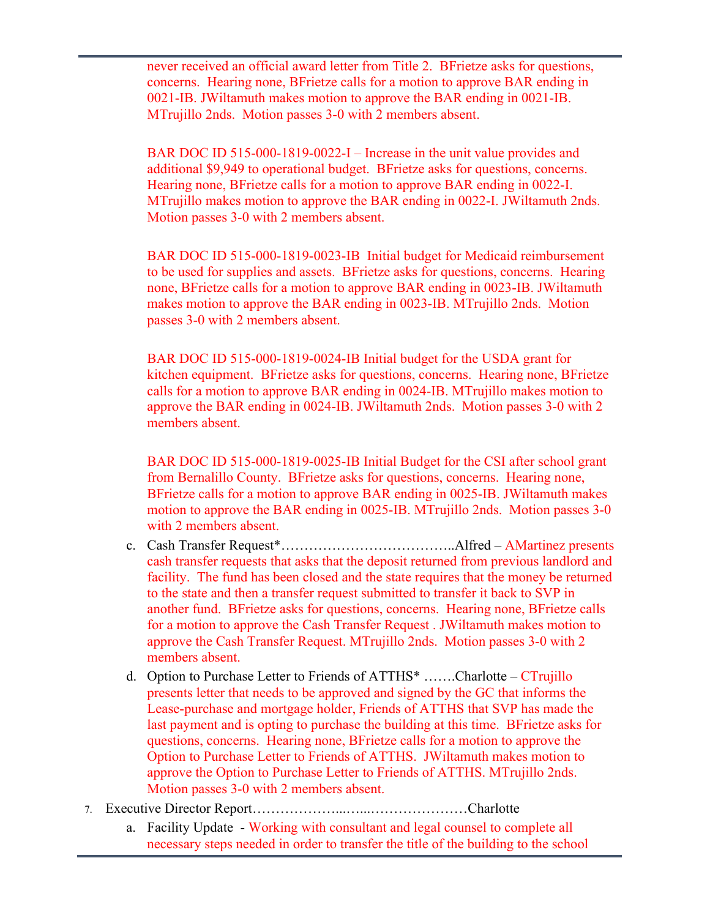never received an official award letter from Title 2. BFrietze asks for questions, concerns. Hearing none, BFrietze calls for a motion to approve BAR ending in 0021-IB. JWiltamuth makes motion to approve the BAR ending in 0021-IB. MTrujillo 2nds. Motion passes 3-0 with 2 members absent.

BAR DOC ID 515-000-1819-0022-I – Increase in the unit value provides and additional \$9,949 to operational budget. BFrietze asks for questions, concerns. Hearing none, BFrietze calls for a motion to approve BAR ending in 0022-I. MTrujillo makes motion to approve the BAR ending in 0022-I. JWiltamuth 2nds. Motion passes 3-0 with 2 members absent.

BAR DOC ID 515-000-1819-0023-IB Initial budget for Medicaid reimbursement to be used for supplies and assets. BFrietze asks for questions, concerns. Hearing none, BFrietze calls for a motion to approve BAR ending in 0023-IB. JWiltamuth makes motion to approve the BAR ending in 0023-IB. MTrujillo 2nds. Motion passes 3-0 with 2 members absent.

BAR DOC ID 515-000-1819-0024-IB Initial budget for the USDA grant for kitchen equipment. BFrietze asks for questions, concerns. Hearing none, BFrietze calls for a motion to approve BAR ending in 0024-IB. MTrujillo makes motion to approve the BAR ending in 0024-IB. JWiltamuth 2nds. Motion passes 3-0 with 2 members absent.

BAR DOC ID 515-000-1819-0025-IB Initial Budget for the CSI after school grant from Bernalillo County. BFrietze asks for questions, concerns. Hearing none, BFrietze calls for a motion to approve BAR ending in 0025-IB. JWiltamuth makes motion to approve the BAR ending in 0025-IB. MTrujillo 2nds. Motion passes 3-0 with 2 members absent.

- c. Cash Transfer Request\*………………………………..Alfred AMartinez presents cash transfer requests that asks that the deposit returned from previous landlord and facility. The fund has been closed and the state requires that the money be returned to the state and then a transfer request submitted to transfer it back to SVP in another fund. BFrietze asks for questions, concerns. Hearing none, BFrietze calls for a motion to approve the Cash Transfer Request . JWiltamuth makes motion to approve the Cash Transfer Request. MTrujillo 2nds. Motion passes 3-0 with 2 members absent.
- d. Option to Purchase Letter to Friends of ATTHS\* …….Charlotte CTrujillo presents letter that needs to be approved and signed by the GC that informs the Lease-purchase and mortgage holder, Friends of ATTHS that SVP has made the last payment and is opting to purchase the building at this time. BFrietze asks for questions, concerns. Hearing none, BFrietze calls for a motion to approve the Option to Purchase Letter to Friends of ATTHS. JWiltamuth makes motion to approve the Option to Purchase Letter to Friends of ATTHS. MTrujillo 2nds. Motion passes 3-0 with 2 members absent.
- 7. Executive Director Report………………...…...…………………Charlotte
	- a. Facility Update Working with consultant and legal counsel to complete all necessary steps needed in order to transfer the title of the building to the school